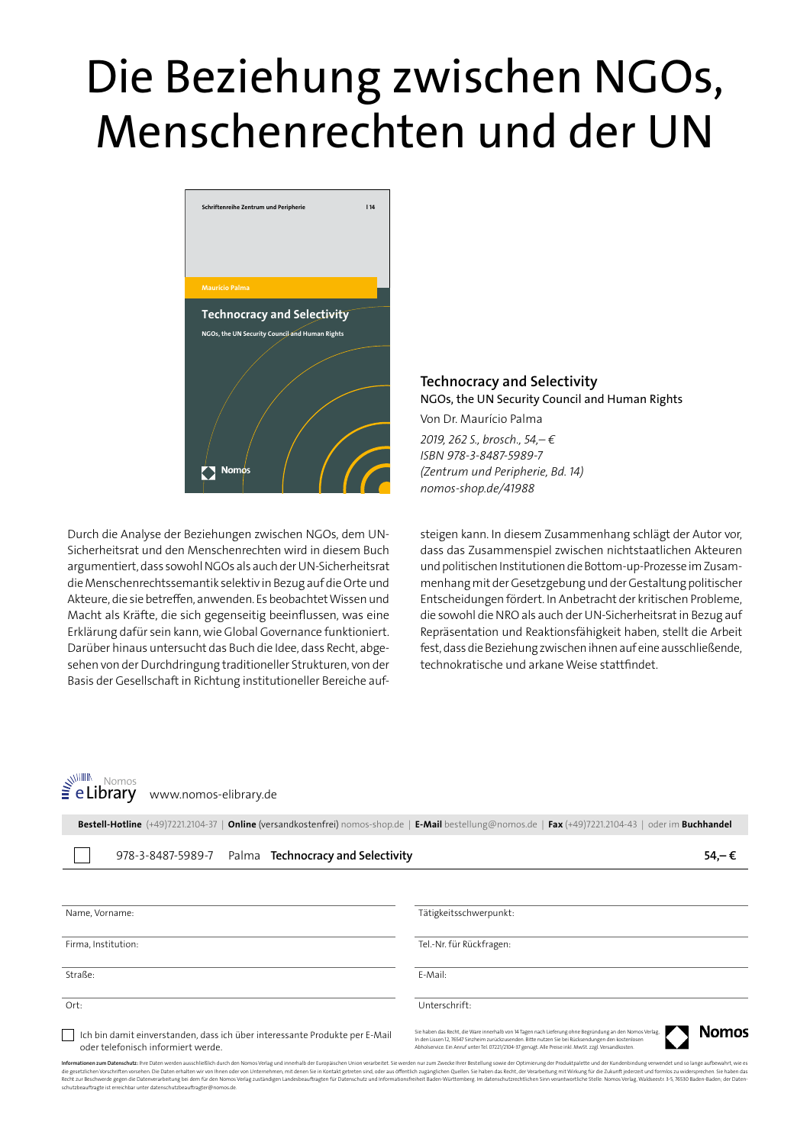## Die Beziehung zwischen NGOs, Menschenrechten und der UN



Durch die Analyse der Beziehungen zwischen NGOs, dem UN-Sicherheitsrat und den Menschenrechten wird in diesem Buch argumentiert, dass sowohl NGOs als auch der UN-Sicherheitsrat die Menschenrechtssemantik selektiv in Bezug auf die Orte und Akteure, die sie betreffen, anwenden. Es beobachtet Wissen und Macht als Kräfte, die sich gegenseitig beeinflussen, was eine Erklärung dafür sein kann, wie Global Governance funktioniert. Darüber hinaus untersucht das Buch die Idee, dass Recht, abgesehen von der Durchdringung traditioneller Strukturen, von der Basis der Gesellschaft in Richtung institutioneller Bereiche auf**Technocracy and Selectivity** NGOs, the UN Security Council and Human Rights

Von Dr. Maurício Palma *2019, 262 S., brosch., 54,– € ISBN 978-3-8487-5989-7 (Zentrum und Peripherie, Bd. 14) nomos-shop.de/41988*

steigen kann. In diesem Zusammenhang schlägt der Autor vor, dass das Zusammenspiel zwischen nichtstaatlichen Akteuren und politischen Institutionen die Bottom-up-Prozesse im Zusammenhang mit der Gesetzgebung und der Gestaltung politischer Entscheidungen fördert. In Anbetracht der kritischen Probleme, die sowohl die NRO als auch der UN-Sicherheitsrat in Bezug auf Repräsentation und Reaktionsfähigkeit haben, stellt die Arbeit fest, dass die Beziehung zwischen ihnen auf eine ausschließende, technokratische und arkane Weise stattfindet.

www. Nomos<br>**e Library** www.nomos-elibrary.de

|  |                                                     | Bestell-Hotline (+49)7221.2104-37   Online (versandkostenfrei) nomos-shop.de   E-Mail bestellung@nomos.de   Fax (+49)7221.2104-43   oder im Buchhandel |       |
|--|-----------------------------------------------------|--------------------------------------------------------------------------------------------------------------------------------------------------------|-------|
|  | 978-3-8487-5989-7 Palma Technocracy and Selectivity |                                                                                                                                                        | 54.–€ |

| Name, Vorname:                                                                                                    | Tätigkeitsschwerpunkt:                                                                                                                                                                                                                                                                                                                   |
|-------------------------------------------------------------------------------------------------------------------|------------------------------------------------------------------------------------------------------------------------------------------------------------------------------------------------------------------------------------------------------------------------------------------------------------------------------------------|
| Firma, Institution:                                                                                               | Tel.-Nr. für Rückfragen:                                                                                                                                                                                                                                                                                                                 |
| Straße:                                                                                                           | F-Mail:                                                                                                                                                                                                                                                                                                                                  |
| Ort:                                                                                                              | Unterschrift:                                                                                                                                                                                                                                                                                                                            |
| Ich bin damit einverstanden, dass ich über interessante Produkte per E-Mail<br>oder telefonisch informiert werde. | <b>Nomos</b><br>Sie haben das Recht, die Ware innerhalb von 14 Tagen nach Lieferung ohne Begründung an den Nomos Verlag,<br>In den Lissen 12, 76547 Sinzheim zurückzusenden. Bitte nutzen Sie bei Rücksendungen den kostenlosen<br>Abholservice. Ein Anruf unter Tel. 07221/2104-37 genügt. Alle Preise inkl. MwSt. zzgl. Versandkosten. |

I**nformationen zum Datenschutz**: Ihre Daten werden ausschließlich durch den Nomos Verlag und innerhalb der Europäischen Union verarbeitet. Sie werden nur zum Zwecke Ihrer Bestellung sowie der Optimierung der Produktpalette